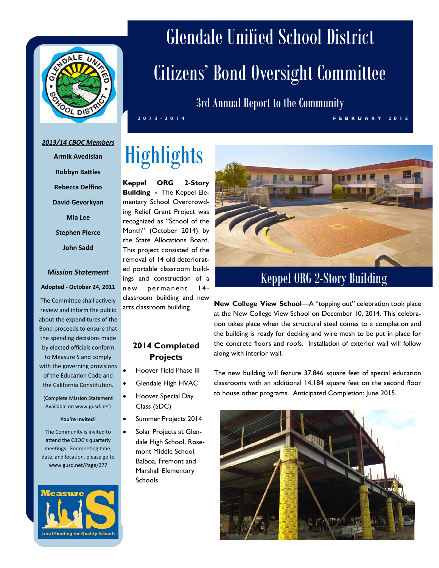

#### *2013/14 CBOC Members*

**Armik Avedisian Robbyn Battles Rebecca Delfino David Gevorkyan Mia Lee Stephen Pierce John Sadd** 

#### *Mission Statement*

#### **Adopted ‐ October 24, 2011**

The Committee shall actively review and inform the public about the expenditures of the Bond proceeds to ensure that the spending decisions made by elected officials conform to Measure S and comply with the governing provisions of the Education Code and the California Constitution.

(Complete Mission Statement Available on www.gusd.net)

#### **You're Invited!**

The Community is invited to attend the CBOC's quarterly meetings. For meeting time, date, and location, please go to www.gusd.net/Page/277



# Glendale Unified School District Citizens' Bond Oversight Committee

3rd Annual Report to the Community

**2013 -2014 FEBRUA RY 2015**

## **Highlights**

**Keppel ORG 2-Story Building -** The Keppel Elementary School Overcrowding Relief Grant Project was recognized as "School of the Month" (October 2014) by the State Allocations Board. This project consisted of the removal of 14 old deteriorated portable classroom buildings and construction of a new permanent 14 classroom building and new arts classroom building.

#### **2014 Completed Projects**

- Hoover Field Phase III
- Glendale High HVAC
- Hoover Special Day Class (SDC)
- Summer Projects 2014
- Solar Projects at Glendale High School, Rosemont Middle School, Balboa, Fremont and Marshall Elementary Schools



#### Keppel ORG 2-Story Building

**New College View School**—A "topping out" celebration took place at the New College View School on December 10, 2014. This celebration takes place when the structural steel comes to a completion and the building is ready for decking and wire mesh to be put in place for the concrete floors and roofs. Installation of exterior wall will follow along with interior wall.

The new building will feature 37,846 square feet of special education classrooms with an additional 14,184 square feet on the second floor to house other programs. Anticipated Completion: June 2015.

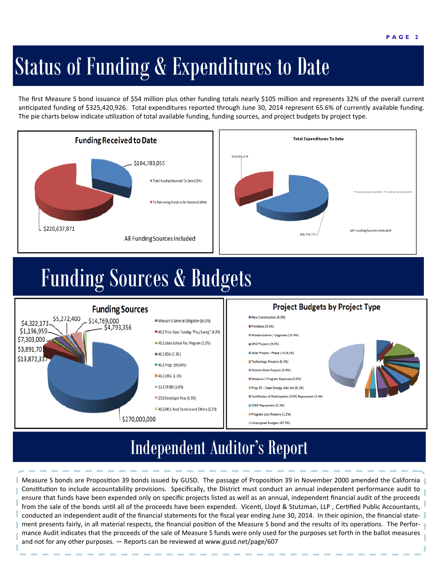# Status of Funding & Expenditures to Date

The first Measure S bond issuance of \$54 million plus other funding totals nearly \$105 million and represents 32% of the overall current anticipated funding of \$325,420,926. Total expenditures reported through June 30, 2014 represent 65.6% of currently available funding. The pie charts below indicate utilization of total available funding, funding sources, and project budgets by project type.



### Funding Sources & Budgets



#### Independent Auditor's Report

Measure S bonds are Proposition 39 bonds issued by GUSD. The passage of Proposition 39 in November 2000 amended the California Constitution to include accountability provisions. Specifically, the District must conduct an annual independent performance audit to ensure that funds have been expended only on specific projects listed as well as an annual, independent financial audit of the proceeds from the sale of the bonds until all of the proceeds have been expended. Vicenti, Lloyd & Stutzman, LLP, Certified Public Accountants, conducted an independent audit of the financial statements for the fiscal year ending June 30, 2014. In their opinion, the financial statement presents fairly, in all material respects, the financial position of the Measure S bond and the results of its operations. The Performance Audit indicates that the proceeds of the sale of Measure S funds were only used for the purposes set forth in the ballot measures and not for any other purposes. — Reports can be reviewed at www.gusd.net/page/607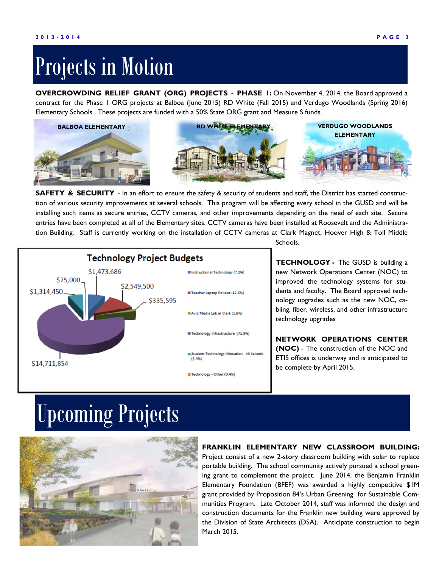### Projects in Motion

**OVERCROWDING RELIEF GRANT (ORG) PROJECTS - PHASE 1:** On November 4, 2014, the Board approved a contract for the Phase 1 ORG projects at Balboa (June 2015) RD White (Fall 2015) and Verdugo Woodlands (Spring 2016) Elementary Schools. These projects are funded with a 50% State ORG grant and Measure S funds.



**SAFETY & SECURITY** - In an effort to ensure the safety & security of students and staff, the District has started construction of various security improvements at several schools. This program will be affecting every school in the GUSD and will be installing such items as secure entries, CCTV cameras, and other improvements depending on the need of each site. Secure entries have been completed at all of the Elementary sites. CCTV cameras have been installed at Roosevelt and the Administration Building. Staff is currently working on the installation of CCTV cameras at Clark Magnet, Hoover High & Toll Middle



Schools.

**TECHNOLOGY -** The GUSD is building a new Network Operations Center (NOC) to improved the technology systems for students and faculty. The Board approved technology upgrades such as the new NOC, cabling, fiber, wireless, and other infrastructure technology upgrades

**NETWORK OPERATIONS CENTER (NOC)** - The construction of the NOC and ETIS offices is underway and is anticipated to be complete by April 2015.

### Upcoming Projects



#### **FRANKLIN ELEMENTARY NEW CLASSROOM BUILDING:**

Project consist of a new 2-story classroom building with solar to replace portable building. The school community actively pursued a school greening grant to complement the project. June 2014, the Benjamin Franklin Elementary Foundation (BFEF) was awarded a highly competitive \$1M grant provided by Proposition 84's Urban Greening for Sustainable Communities Program. Late October 2014, staff was informed the design and construction documents for the Franklin new building were approved by the Division of State Architects (DSA). Anticipate construction to begin March 2015.